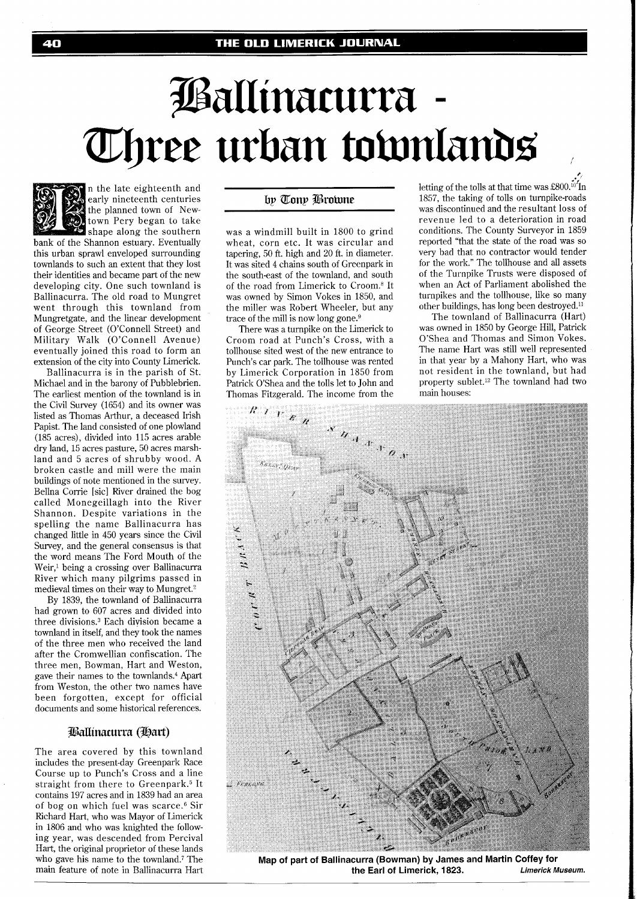# Pallinacurra -Three urban townlands



n the late eighteenth and early nineteenth centuries the planned town of Newtown Pery began to take shape along the southern

bank of the Shannon estuary. Eventually this urban sprawl enveloped surrounding townlands to such an extent that they lost their identities and became part of the new developing city. One such townland is Ballinacurra. The old road to Mungret went through this townland from Mungretgate, and the linear development of George Street (O'Connell Street) and Military Walk (O'Connell Avenue) eventually joined this road to form an extension of the city into County Limerick.

Ballinacurra is in the parish of St. Michael and in the barony of Pubblebrien. The earliest mention of the townland is in the Civil Survey (1654) and its owner was listed as Thomas Arthur, a deceased Irish Papist. The land consisted of one plowland (185 acres), divided into 115 acres arable dry land, 15 acres pasture, 50 acres marshland and 5 acres of shrubby wood. A broken castle and mill were the main buildings of note mentioned in the survey. Bellna Corrie [sic] River drained the bog called Monegeillagh into the River Shannon. Despite variations in the spelling the name Ballinacurra has changed little in 450 years since the Civil Survey, and the general consensus is that the word means The Ford Mouth of the Weir,<sup>1</sup> being a crossing over Ballinacurra River which many pilgrims passed in medieval times on their way to Mungret.<sup>2</sup>

By 1839, the townland of Ballinacurra had grown to 607 acres and divided into three divisions.3 Each division became a townland in itself, and they took the names of the three men who received the land after the Cromwellian confiscation. The three men, Bowman, Hart and Weston, gave their names to the townlands.<sup>4</sup> Apart from Weston, the other two names have been forgotten, except for official documents and some historical references.

#### Ballinacurra (Hart)

The area covered by this townland includes the present-day Greenpark Race Course up to Punch's Cross and a line straight from there to Greenpark.<sup>5</sup> It contains 197 acres and in 1839 had an area of bog on which fuel was scarce. $6$  Sir Richard Hart, who was Mayor of Limerick in 1806 and who was knighted the following year, was descended from Percival Hart, the original proprietor of these lands who gave his name to the townland.? The main feature of note in Ballinacurra Hart

## by Tony Browne

was a windmill built in 1800 to grind wheat, corn etc. It was circular and tapering, 50 ft. high and 20 ft. in diameter. It was sited 4 chains south of Greenpark in the south-east of the townland, and south of the road from Limerick to Croom.<sup>8</sup> It was owned by Simon Vokes in 1850, and the miller was Robert Wheeler, but any trace of the mill is now long gone. $\frac{1}{2}$ 

There was a turnpike on the Limerick to Croom road at Punch's Cross, with a tollhouse sited west of the new entrance to Punch's car park. The tollhouse was rented by Limerick Corporation in 1850 from Patrick O'Shea and the tolls let to John and Thomas Fitzgerald. The income from the letting of the tolls at that time was £800. $i\delta$ In 1857, the taking of tolls on turnpike-roads was discontinued and the resultant loss of revenue led to a deterioration in road conditions. The County Surveyor in 1859 reported "that the state of the road was so very bad that no contractor would tender for the work." The tollhouse and all assets of the Turnpike Trusts were disposed of when an Act of Parliament abolished the turnpikes and the tollhouse, like so many other buildings, has long been destroyed."

**p.** 

The townland of Ballinacurra (Hart) was owned in 1850 by George Hill, Patrick O'Shea and Thomas and Simon Vokes. The name Hart was still well represented in that year by a Mahony Hart, who was not resident in the townland, but had property sublet.12 The townland had two main houses:



**Map of part of Ballinacurra (Bowman) by James and Martin Coffey for the Earl of Limerick, 1823.**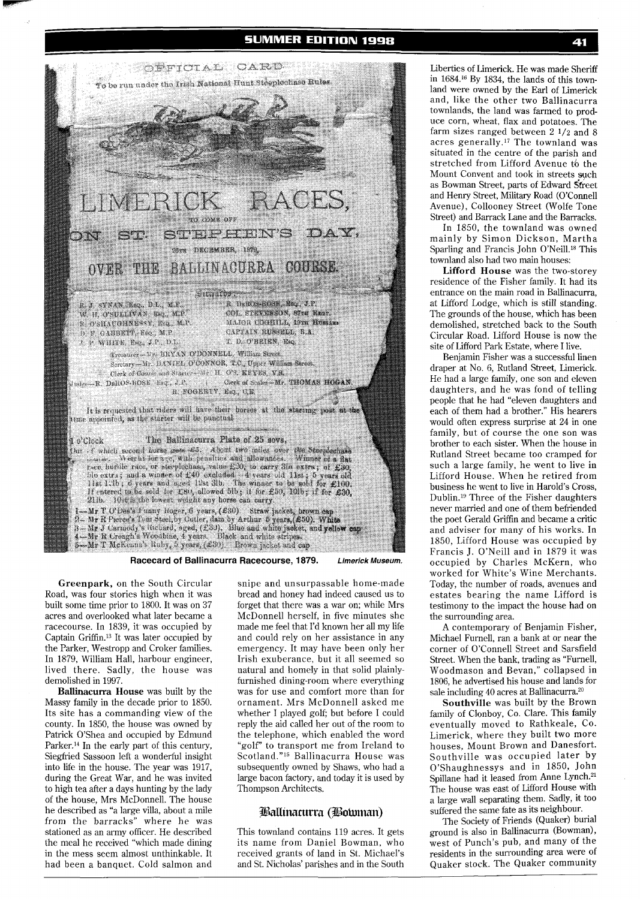

**Racecard of Ballinacurra Racecourse, 187% Limerick Museum.** 

**Greenpark,** on the South Circular Road, was four stories high when it was built some time prior to 1800. It was on 37 acres and overlooked what later became a racecourse. In 1839, it was occupied by Captain Griffin.13 It was later occupied by the Parker, Westropp and Croker families. In 1879, William Hall, harbour engineer, lived there. Sadly, the house was demolished in 1997.

**Ballinacurra House** was built by the Massy family in the decade prior to 1850. Its site has a commanding view of the county. In 1850, the house was owned by Patrick O'Shea and occupied by Edmund Parker.<sup>14</sup> In the early part of this century, Siegfried Sassoon left a wonderful insight into life in the house. The year was 1917, during the Great War, and he was invited to high tea after a days hunting by the lady of the house, Mrs McDonnell. The house he described as "a large villa, about a mile from the barracks" where he was stationed as an army officer. He described the meal he received "which made dining in the mess seem almost unthinkable. It had been a banquet. Cold salmon and

snipe and unsurpassable home-made bread and honey had indeed caused us to forget that there was a war on; while Mrs McDonnell herself, in five minutes she made me feel that I'd known her all my life and could rely on her assistance in any emergency. It may have been only her Irish exuberance, but it all seemed so natural and homely in that solid plainlyfurnished dining-room where everything was for use and comfort more than for ornament. Mrs McDonnell asked me whether I played golf; but before I could reply the aid called her out of the room to the telephone, which enabled the word "golf" to transport me from Ireland to Scotland."15 Ballinacurra House was subsequently owned by Shaws, who had a large bacon factory, and today it is used by Thompson Architects.

### Ballinacurra (Botoman)

This townland contains 119 acres. It gets its name from Daniel Bowman, who received grants of land in St. Michael's and St. Nicholas' parishes and in the South

Liberties of Limerick. He was made Sheriff in 1684.16 By 1834, the lands of this townland were owned by the Earl of Limerick and, like the other two Ballinacurra townlands, the land was farmed to produce corn, wheat, flax and potatoes. The farm sizes ranged between 2 **1/2** and 8 acres generally.17 The townland was situated in the centre of the parish and stretched from Lifford Avenue to the Mount Convent and took in streets such as Bowman Street, parts of Edward Street and Henry Street, Military Road (O'Connell Avenue), Collooney Street (Wolfe Tone Street) and Barrack Lane and the Barracks.

In 1850, the townland was owned mainly by Simon Dickson, Martha Sparling and Francis John O'Neill.18 This townland also had two main houses:

**Lifford House** was the two-storey residence of the Fisher family. It had its entrance on the main road in Ballinacurra, at Lifford Lodge, which is still standing. The grounds of the house, which has been demolished, stretched back to the South Circular Road. Lifford House is now the site of Lifford Park Estate, where I live.

Benjamin Fisher was a successful linen draper at No. 6, Rutland Street, Limerick. He had a large family, one son and eleven daughters, and he was fond of telling people that he had "eleven daughters and each of them had a brother." His hearers would often express surprise at 24 in one family, but of course the one son was brother to each sister. When the house in Rutland Street became too cramped for such a large family, he went to live in Lifford House. When he retired from business he went to live in Harold's Cross, Dublin.<sup>19</sup> Three of the Fisher daughters never married and one of them befriended the poet Gerald Griffin and became a critic and adviser for many of his works. In 1850, Lifford House was occupied by Francis J. O'Neill and in 1879 it was occupied by Charles McKern, who worked for White's Wine Merchants. Today, the number of roads, avenues and estates bearing the name Lifford is testimony to the impact the house had on the surrounding area.

A contemporary of Benjamin Fisher, Michael Fumell, ran a bank at or near the corner of O'Connell Street and Sarsfield Street. When the bank, trading as "Furnell, Woodmason and Bevan," collapsed in 1806, he advertised his house and lands for sale including  $40$  acres at Ballinacurra. $20$ 

**Southville** was built by the Brown family of Clonboy, Co. Clare. This family eventually moved to Rathkeale, Co. Limerick, where they built two more houses, Mount Brown and Danesfort. Southville was occupied later by O'Shaughnessys and in 1850, John Spillane had it leased from Anne Lynch.<sup>21</sup> The house was east of Lifford House with a large wall separating them. Sadly, it too suffered the same fate as its neighbour.

The Society of Friends (Quaker) burial ground is also in Ballinacurra (Bowman), west of Punch's pub, and many of the residents in the surrounding area were of Quaker stock. The Quaker community